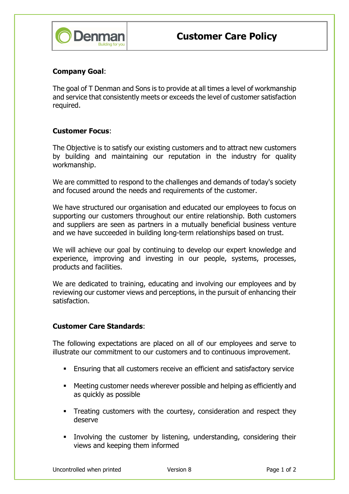

## Company Goal:

The goal of T Denman and Sons is to provide at all times a level of workmanship and service that consistently meets or exceeds the level of customer satisfaction required.

## Customer Focus:

The Objective is to satisfy our existing customers and to attract new customers by building and maintaining our reputation in the industry for quality workmanship.

We are committed to respond to the challenges and demands of today's society and focused around the needs and requirements of the customer.

We have structured our organisation and educated our employees to focus on supporting our customers throughout our entire relationship. Both customers and suppliers are seen as partners in a mutually beneficial business venture and we have succeeded in building long-term relationships based on trust.

We will achieve our goal by continuing to develop our expert knowledge and experience, improving and investing in our people, systems, processes, products and facilities.

We are dedicated to training, educating and involving our employees and by reviewing our customer views and perceptions, in the pursuit of enhancing their satisfaction.

## Customer Care Standards:

The following expectations are placed on all of our employees and serve to illustrate our commitment to our customers and to continuous improvement.

- Ensuring that all customers receive an efficient and satisfactory service
- Meeting customer needs wherever possible and helping as efficiently and as quickly as possible
- Treating customers with the courtesy, consideration and respect they deserve
- Involving the customer by listening, understanding, considering their views and keeping them informed